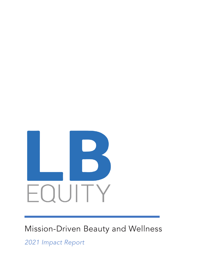

## Mission-Driven Beauty and Wellness

*2021 Impact Report*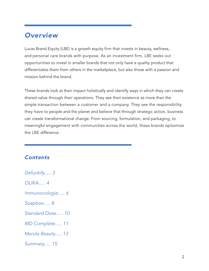#### *Overview*

Lucas Brand Equity (LBE) is a growth equity firm that invests in beauty, wellness, and personal care brands with purpose. As an investment firm, LBE seeks out opportunities to invest in smaller brands that not only have a quality product that differentiates them from others in the marketplace, but also those with a passion and mission behind the brand.

These brands look at their impact holistically and identify ways in which they can create shared value through their operations. They see their existence as more than the simple transaction between a customer and a company. They see the responsibility they have to people and the planet and believe that through strategic action, business can create transformational change. From sourcing, formulation, and packaging, to meaningful engagement with communities across the world, these brands epitomize the LBE difference.

#### *Contents*

*Defunkify..... 3 OLIKA..... 4 Immunocologie..... 6 Soapbox..... 8 Standard Dose..... 10 MD Complete..... 11 Marula Beauty..... 13 Summary..... 15*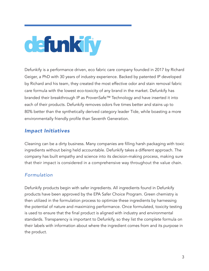# defunkify

Defunkify is a performance driven, eco fabric care company founded in 2017 by Richard Geiger, a PhD with 30 years of industry experience. Backed by patented IP developed by Richard and his team, they created the most effective odor and stain removal fabric care formula with the lowest eco-toxicity of any brand in the market. Defunkify has branded their breakthrough IP as ProvenSafe™ Technology and have inserted it into each of their products. Defunkify removes odors five times better and stains up to 80% better than the synthetically derived category leader Tide, while boasting a more environmentally friendly profile than Seventh Generation.

#### *Impact Initiatives*

Cleaning can be a dirty business. Many companies are filling harsh packaging with toxic ingredients without being held accountable. Defunkify takes a different approach. The company has built empathy and science into its decision-making process, making sure that their impact is considered in a comprehensive way throughout the value chain.

#### *Formulation*

Defunkify products begin with safer ingredients. All ingredients found in Defunkify products have been approved by the EPA Safer Choice Program. Green chemistry is then utilized in the formulation process to optimize these ingredients by harnessing the potential of nature and maximizing performance. Once formulated, toxicity testing is used to ensure that the final product is aligned with industry and environmental standards. Transparency is important to Defunkify, so they list the complete formula on their labels with information about where the ingredient comes from and its purpose in the product.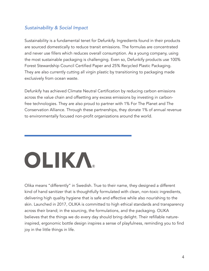#### *Sustainability & Social Impact*

Sustainability is a fundamental tenet for Defunkify. Ingredients found in their products are sourced domestically to reduce transit emissions. The formulas are concentrated and never use fillers which reduces overall consumption. As a young company, using the most sustainable packaging is challenging. Even so, Defunkify products use 100% Forest Stewardship Council Certified Paper and 25% Recycled Plastic Packaging. They are also currently cutting all virgin plastic by transitioning to packaging made exclusively from ocean waste.

Defunkify has achieved Climate Neutral Certification by reducing carbon emissions across the value chain and offsetting any excess emissions by investing in carbonfree technologies. They are also proud to partner with 1% For The Planet and The Conservation Alliance. Through these partnerships, they donate 1% of annual revenue to environmentally focused non-profit organizations around the world.

# OLIKA

Olika means "differently" in Swedish. True to their name, they designed a different kind of hand sanitizer that is thoughtfully formulated with clean, non-toxic ingredients, delivering high quality hygiene that is safe and effective while also nourishing to the skin. Launched in 2017, OLIKA is committed to high ethical standards and transparency across their brand; in the sourcing, the formulations, and the packaging. OLIKA believes that the things we do every day should bring delight. Their refillable natureinspired, ergonomic bottle design inspires a sense of playfulness, reminding you to find joy in the little things in life.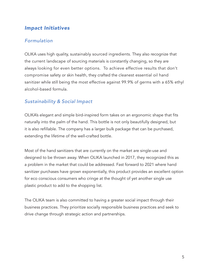#### *Impact Initiatives*

#### *Formulation*

OLIKA uses high quality, sustainably sourced ingredients. They also recognize that the current landscape of sourcing materials is constantly changing, so they are always looking for even better options. To achieve effective results that don't compromise safety or skin health, they crafted the cleanest essential oil hand sanitizer while still being the most effective against 99.9% of germs with a 65% ethyl alcohol-based formula.

#### *Sustainability & Social Impact*

OLIKA's elegant and simple bird-inspired form takes on an ergonomic shape that fits naturally into the palm of the hand. This bottle is not only beautifully designed, but it is also refillable. The company has a larger bulk package that can be purchased, extending the lifetime of the well-crafted bottle.

Most of the hand sanitizers that are currently on the market are single-use and designed to be thrown away. When OLIKA launched in 2017, they recognized this as a problem in the market that could be addressed. Fast forward to 2021 where hand sanitizer purchases have grown exponentially, this product provides an excellent option for eco conscious consumers who cringe at the thought of yet another single use plastic product to add to the shopping list.

The OLIKA team is also committed to having a greater social impact through their business practices. They prioritize socially responsible business practices and seek to drive change through strategic action and partnerships.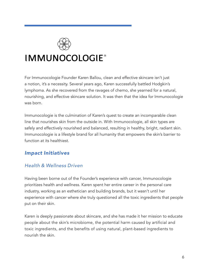

### **IMMUNOCOLOGIE®**

For Immunocologie Founder Karen Ballou, clean and effective skincare isn't just a notion, it's a necessity. Several years ago, Karen successfully battled Hodgkin's lymphoma. As she recovered from the ravages of chemo, she yearned for a natural, nourishing, and effective skincare solution. It was then that the idea for Immunocologie was born.

Immunocologie is the culmination of Karen's quest to create an incomparable clean line that nourishes skin from the outside in. With Immunocologie, all skin types are safely and effectively nourished and balanced, resulting in healthy, bright, radiant skin. Immunocologie is a lifestyle brand for all humanity that empowers the skin's barrier to function at its healthiest.

#### *Impact Initiatives*

#### *Health & Wellness Driven*

Having been borne out of the Founder's experience with cancer, Immunocologie prioritizes health and wellness. Karen spent her entire career in the personal care industry, working as an esthetician and building brands, but it wasn't until her experience with cancer where she truly questioned all the toxic ingredients that people put on their skin.

Karen is deeply passionate about skincare, and she has made it her mission to educate people about the skin's microbiome, the potential harm caused by artificial and toxic ingredients, and the benefits of using natural, plant-based ingredients to nourish the skin.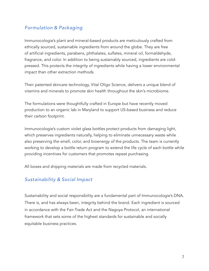#### *Formulation & Packaging*

Immunocologie's plant and mineral-based products are meticulously crafted from ethically sourced, sustainable ingredients from around the globe. They are free of artificial ingredients, parabens, phthalates, sulfates, mineral oil, formaldehyde, fragrance, and color. In addition to being sustainably sourced, ingredients are coldpressed. This protects the integrity of ingredients while having a lower environmental impact than other extraction methods.

Their patented skincare technology, Vital Oligo Science, delivers a unique blend of vitamins and minerals to promote skin health throughout the skin's microbiome.

The formulations were thoughtfully crafted in Europe but have recently moved production to an organic lab in Maryland to support US-based business and reduce their carbon footprint.

Immunocologie's custom violet glass bottles protect products from damaging light, which preserves ingredients naturally, helping to eliminate unnecessary waste while also preserving the smell, color, and bioenergy of the products. The team is currently working to develop a bottle return program to extend the life cycle of each bottle while providing incentives for customers that promotes repeat purchasing.

All boxes and shipping materials are made from recycled materials.

#### *Sustainability & Social Impact*

Sustainability and social responsibility are a fundamental part of Immunocologie's DNA. There is, and has always been, integrity behind the brand. Each ingredient is sourced in accordance with the Fair-Trade Act and the Nagoya Protocol, an international framework that sets some of the highest standards for sustainable and socially equitable business practices.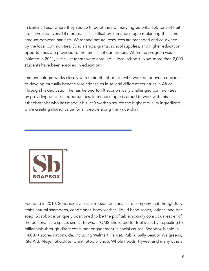In Burkina Faso, where they source three of their primary ingredients, 150 tons of fruit are harvested every 18 months. This is offset by Immunocologie replanting the same amount between harvests. Water and natural resources are managed and co-owned by the local communities. Scholarships, grants, school supplies, and higher education opportunities are provided to the families of our farmers. When the program was initiated in 2011, just six students were enrolled in local schools. Now, more than 2,000 students have been enrolled in education.

Immunocologie works closely with their ethnobotanist who worked for over a decade to develop mutually beneficial relationships in several different countries in Africa. Through his dedication, he has helped to lift economically challenged communities by providing business opportunities. Immunocologie is proud to work with this ethnobotanist who has made it his life's work to source the highest quality ingredients while creating shared value for all people along the value chain.



Founded in 2010, Soapbox is a social mission personal care company that thoughtfully crafts natural shampoos, conditioner, body washes, liquid hand soaps, lotions, and bar soap. Soapbox is uniquely positioned to be the profitable, socially conscious leader of the personal care space, similar to what TOMS Shoes did for footwear, by appealing to millennials through direct consumer engagement in social causes. Soapbox is sold in 14,000+ stores nationwide, including Walmart, Target, Publix, Sally Beauty, Walgreens, Rite Aid, Meijer, ShopRite, Giant, Stop & Shop, Whole Foods, HyVee, and many others.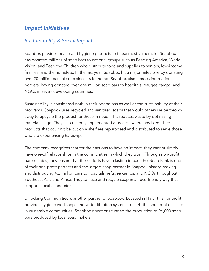#### *Impact Initiatives*

#### *Sustainability & Social Impact*

Soapbox provides health and hygiene products to those most vulnerable. Soapbox has donated millions of soap bars to national groups such as Feeding America, World Vision, and Feed the Children who distribute food and supplies to seniors, low-income families, and the homeless. In the last year, Soapbox hit a major milestone by donating over 20 million bars of soap since its founding. Soapbox also crosses international borders, having donated over one million soap bars to hospitals, refugee camps, and NGOs in seven developing countries.

Sustainability is considered both in their operations as well as the sustainability of their programs. Soapbox uses recycled and sanitized soaps that would otherwise be thrown away to upcycle the product for those in need. This reduces waste by optimizing material usage. They also recently implemented a process where any blemished products that couldn't be put on a shelf are repurposed and distributed to serve those who are experiencing hardship.

The company recognizes that for their actions to have an impact, they cannot simply have one-off relationships in the communities in which they work. Through non-profit partnerships, they ensure that their efforts have a lasting impact. EcoSoap Bank is one of their non-profit partners and the largest soap partner in Soapbox history, making and distributing 4.2 million bars to hospitals, refugee camps, and NGOs throughout Southeast Asia and Africa. They sanitize and recycle soap in an eco-friendly way that supports local economies.

Unlocking Communities is another partner of Soapbox. Located in Haiti, this nonprofit provides hygiene workshops and water filtration systems to curb the spread of diseases in vulnerable communities. Soapbox donations funded the production of 96,000 soap bars produced by local soap makers.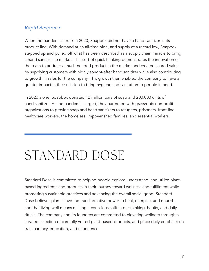#### *Rapid Response*

When the pandemic struck in 2020, Soapbox did not have a hand sanitizer in its product line. With demand at an all-time high, and supply at a record low, Soapbox stepped up and pulled off what has been described as a supply chain miracle to bring a hand sanitizer to market. This sort of quick thinking demonstrates the innovation of the team to address a much-needed product in the market and created shared value by supplying customers with highly sought-after hand sanitizer while also contributing to growth in sales for the company. This growth then enabled the company to have a greater impact in their mission to bring hygiene and sanitation to people in need.

In 2020 alone, Soapbox donated 12 million bars of soap and 200,000 units of hand sanitizer. As the pandemic surged, they partnered with grassroots non-profit organizations to provide soap and hand sanitizers to refugees, prisoners, front-line healthcare workers, the homeless, impoverished families, and essential workers.

## STANDARD DOSE

Standard Dose is committed to helping people explore, understand, and utilize plantbased ingredients and products in their journey toward wellness and fulfillment while promoting sustainable practices and advancing the overall social good. Standard Dose believes plants have the transformative power to heal, energize, and nourish, and that living well means making a conscious shift in our thinking, habits, and daily rituals. The company and its founders are committed to elevating wellness through a curated selection of carefully vetted plant-based products, and place daily emphasis on transparency, education, and experience.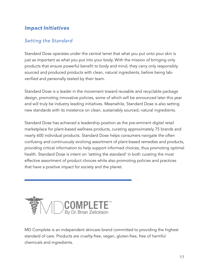#### *Impact Initiatives*

#### *Setting the Standard*

Standard Dose operates under the central tenet that what you put onto your skin is just as important as what you put into your body. With the mission of bringing only products that ensure powerful benefit to body and mind, they carry only responsibly sourced and produced products with clean, natural ingredients, before being labverified and personally tested by their team.

Standard Dose is a leader in the movement toward reusable and recyclable package design, promoting innovative policies, some of which will be announced later this year and will truly be industry leading initiatives. Meanwhile, Standard Dose is also setting new standards with its insistence on clean, sustainably sourced, natural ingredients.

Standard Dose has achieved a leadership position as the pre-eminent digital retail marketplace for plant-based wellness products, curating approximately 75 brands and nearly 600 individual products. Standard Dose helps consumers navigate the often confusing and continuously evolving assortment of plant-based remedies and products, providing critical information to help support informed choices, thus promoting optimal health. Standard Dose is intent on 'setting the standard' in both curating the most effective assortment of product choices while also promoting policies and practices that have a positive impact for society and the planet.



MD Complete is an independent skincare brand committed to providing the highest standard of care. Products are cruelty-free, vegan, gluten-free, free of harmful chemicals and ingredients.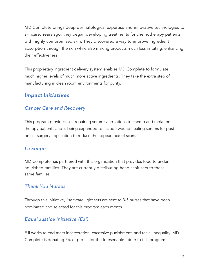MD Complete brings deep dermatological expertise and innovative technologies to skincare. Years ago, they began developing treatments for chemotherapy patients with highly compromised skin. They discovered a way to improve ingredient absorption through the skin while also making products much less irritating, enhancing their effectiveness.

This proprietary ingredient delivery system enables MD Complete to formulate much higher levels of much more active ingredients. They take the extra step of manufacturing in clean room environments for purity.

#### *Impact Initiatives*

#### *Cancer Care and Recovery*

This program provides skin repairing serums and lotions to chemo and radiation therapy patients and is being expanded to include wound healing serums for post breast surgery application to reduce the appearance of scars.

#### *La Soupe*

MD Complete has partnered with this organization that provides food to undernourished families. They are currently distributing hand sanitizers to these same families.

#### *Thank You Nurses*

Through this initiative, "self-care'' gift sets are sent to 3-5 nurses that have been nominated and selected for this program each month.

#### *Equal Justice Initiative (EJI)*

EJI works to end mass incarceration, excessive punishment, and racial inequality. MD Complete is donating 5% of profits for the foreseeable future to this program.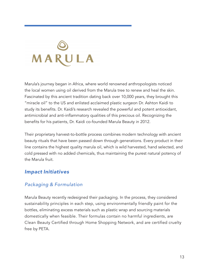# MARULA

Marula's journey began in Africa, where world renowned anthropologists noticed the local women using oil derived from the Marula tree to renew and heal the skin. Fascinated by this ancient tradition dating back over 10,000 years, they brought this "miracle oil" to the US and enlisted acclaimed plastic surgeon Dr. Ashton Kaidi to study its benefits. Dr. Kaidi's research revealed the powerful and potent antioxidant, antimicrobial and anti-inflammatory qualities of this precious oil. Recognizing the benefits for his patients, Dr. Kaidi co-founded Marula Beauty in 2012.

Their proprietary harvest-to-bottle process combines modern technology with ancient beauty rituals that have been passed down through generations. Every product in their line contains the highest quality marula oil, which is wild harvested, hand selected, and cold pressed with no added chemicals, thus maintaining the purest natural potency of the Marula fruit.

#### *Impact Initiatives*

#### *Packaging & Formulation*

Marula Beauty recently redesigned their packaging. In the process, they considered sustainability principles in each step, using environmentally friendly paint for the bottles, eliminating excess materials such as plastic wrap and sourcing materials domestically when feasible. Their formulas contain no harmful ingredients, are Clean Beauty Certified through Home Shopping Network, and are certified cruelty free by PETA.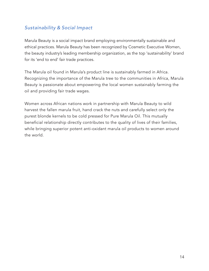#### *Sustainability & Social Impact*

Marula Beauty is a social impact brand employing environmentally sustainable and ethical practices. Marula Beauty has been recognized by Cosmetic Executive Women, the beauty industry's leading membership organization, as the top 'sustainability' brand for its 'end to end' fair trade practices.

The Marula oil found in Marula's product line is sustainably farmed in Africa. Recognizing the importance of the Marula tree to the communities in Africa, Marula Beauty is passionate about empowering the local women sustainably farming the oil and providing fair trade wages.

Women across African nations work in partnership with Marula Beauty to wild harvest the fallen marula fruit, hand crack the nuts and carefully select only the purest blonde kernels to be cold pressed for Pure Marula Oil. This mutually beneficial relationship directly contributes to the quality of lives of their families, while bringing superior potent anti-oxidant marula oil products to women around the world.